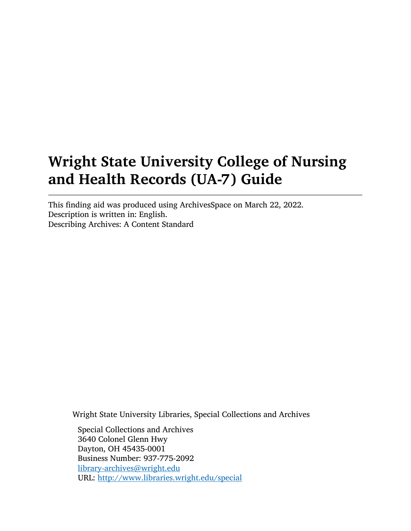# Wright State University College of Nursing and Health Records (UA-7) Guide

This finding aid was produced using ArchivesSpace on March 22, 2022. Description is written in: English. Describing Archives: A Content Standard

Wright State University Libraries, Special Collections and Archives

Special Collections and Archives 3640 Colonel Glenn Hwy Dayton, OH 45435-0001 Business Number: 937-775-2092 [library-archives@wright.edu](mailto:library-archives@wright.edu) URL: <http://www.libraries.wright.edu/special>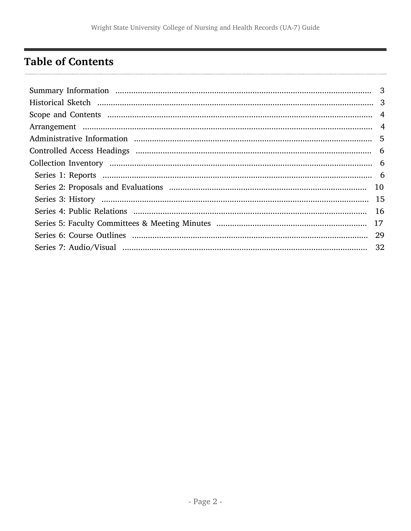## <span id="page-1-0"></span>**Table of Contents**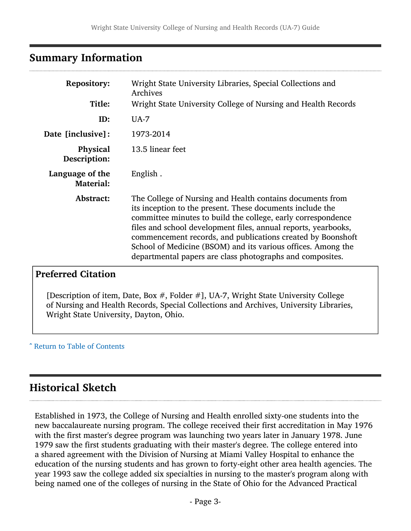## <span id="page-2-0"></span>Summary Information

| <b>Repository:</b><br>Title:        | Wright State University Libraries, Special Collections and<br>Archives<br>Wright State University College of Nursing and Health Records                                                                                                                                                                                                                                                                                                              |
|-------------------------------------|------------------------------------------------------------------------------------------------------------------------------------------------------------------------------------------------------------------------------------------------------------------------------------------------------------------------------------------------------------------------------------------------------------------------------------------------------|
|                                     |                                                                                                                                                                                                                                                                                                                                                                                                                                                      |
| ID:                                 | $UA-7$                                                                                                                                                                                                                                                                                                                                                                                                                                               |
| Date [inclusive]:                   | 1973-2014                                                                                                                                                                                                                                                                                                                                                                                                                                            |
| Physical<br>Description:            | 13.5 linear feet                                                                                                                                                                                                                                                                                                                                                                                                                                     |
| Language of the<br><b>Material:</b> | English.                                                                                                                                                                                                                                                                                                                                                                                                                                             |
| Abstract:                           | The College of Nursing and Health contains documents from<br>its inception to the present. These documents include the<br>committee minutes to build the college, early correspondence<br>files and school development files, annual reports, yearbooks,<br>commencement records, and publications created by Boonshoft<br>School of Medicine (BSOM) and its various offices. Among the<br>departmental papers are class photographs and composites. |

## Preferred Citation

[Description of item, Date, Box #, Folder #], UA-7, Wright State University College of Nursing and Health Records, Special Collections and Archives, University Libraries, Wright State University, Dayton, Ohio.

^ [Return to Table of Contents](#page-1-0)

## <span id="page-2-1"></span>Historical Sketch

Established in 1973, the College of Nursing and Health enrolled sixty-one students into the new baccalaureate nursing program. The college received their first accreditation in May 1976 with the first master's degree program was launching two years later in January 1978. June 1979 saw the first students graduating with their master's degree. The college entered into a shared agreement with the Division of Nursing at Miami Valley Hospital to enhance the education of the nursing students and has grown to forty-eight other area health agencies. The year 1993 saw the college added six specialties in nursing to the master's program along with being named one of the colleges of nursing in the State of Ohio for the Advanced Practical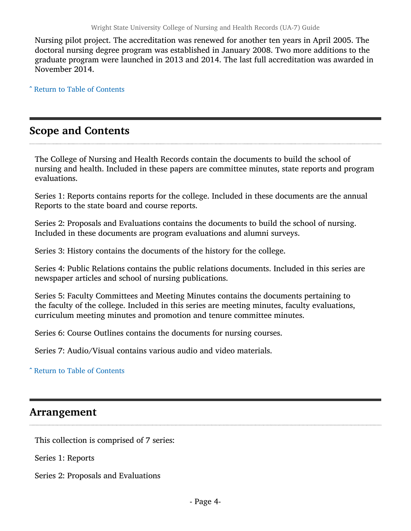Nursing pilot project. The accreditation was renewed for another ten years in April 2005. The doctoral nursing degree program was established in January 2008. Two more additions to the graduate program were launched in 2013 and 2014. The last full accreditation was awarded in November 2014.

^ [Return to Table of Contents](#page-1-0)

## <span id="page-3-0"></span>Scope and Contents

The College of Nursing and Health Records contain the documents to build the school of nursing and health. Included in these papers are committee minutes, state reports and program evaluations.

Series 1: Reports contains reports for the college. Included in these documents are the annual Reports to the state board and course reports.

Series 2: Proposals and Evaluations contains the documents to build the school of nursing. Included in these documents are program evaluations and alumni surveys.

Series 3: History contains the documents of the history for the college.

Series 4: Public Relations contains the public relations documents. Included in this series are newspaper articles and school of nursing publications.

Series 5: Faculty Committees and Meeting Minutes contains the documents pertaining to the faculty of the college. Included in this series are meeting minutes, faculty evaluations, curriculum meeting minutes and promotion and tenure committee minutes.

Series 6: Course Outlines contains the documents for nursing courses.

Series 7: Audio/Visual contains various audio and video materials.

^ [Return to Table of Contents](#page-1-0)

## <span id="page-3-1"></span>Arrangement

This collection is comprised of 7 series:

Series 1: Reports

Series 2: Proposals and Evaluations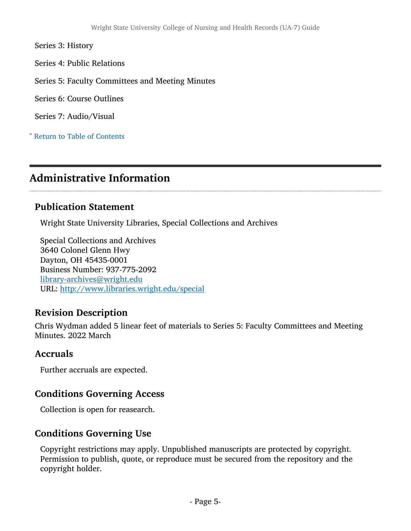Series 3: History

Series 4: Public Relations

Series 5: Faculty Committees and Meeting Minutes

Series 6: Course Outlines

Series 7: Audio/Visual

^ [Return to Table of Contents](#page-1-0)

## <span id="page-4-0"></span>Administrative Information

### Publication Statement

Wright State University Libraries, Special Collections and Archives

Special Collections and Archives 3640 Colonel Glenn Hwy Dayton, OH 45435-0001 Business Number: 937-775-2092 [library-archives@wright.edu](mailto:library-archives@wright.edu) URL: <http://www.libraries.wright.edu/special>

## Revision Description

Chris Wydman added 5 linear feet of materials to Series 5: Faculty Committees and Meeting Minutes. 2022 March

### Accruals

Further accruals are expected.

## Conditions Governing Access

Collection is open for reasearch.

## Conditions Governing Use

Copyright restrictions may apply. Unpublished manuscripts are protected by copyright. Permission to publish, quote, or reproduce must be secured from the repository and the copyright holder.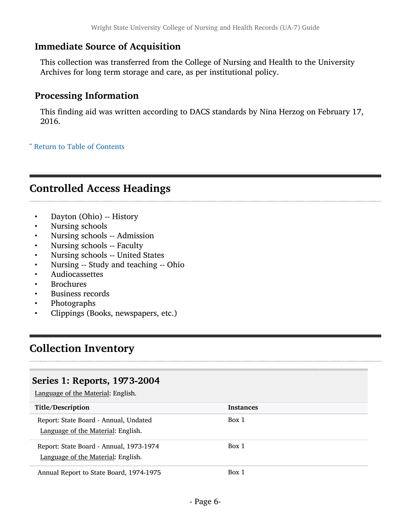## Immediate Source of Acquisition

This collection was transferred from the College of Nursing and Health to the University Archives for long term storage and care, as per institutional policy.

## Processing Information

This finding aid was written according to DACS standards by Nina Herzog on February 17, 2016.

^ [Return to Table of Contents](#page-1-0)

## <span id="page-5-0"></span>Controlled Access Headings

- Dayton (Ohio) -- History
- Nursing schools
- Nursing schools -- Admission
- Nursing schools -- Faculty
- Nursing schools -- United States
- Nursing -- Study and teaching -- Ohio
- Audiocassettes
- **Brochures**
- Business records
- Photographs
- Clippings (Books, newspapers, etc.)

## <span id="page-5-1"></span>Collection Inventory

### <span id="page-5-2"></span>Series 1: Reports, 1973-2004

| Title/Description                                                             | <b>Instances</b> |
|-------------------------------------------------------------------------------|------------------|
| Report: State Board - Annual, Undated<br>Language of the Material: English.   | Box 1            |
| Report: State Board - Annual, 1973-1974<br>Language of the Material: English. | Box 1            |
| Annual Report to State Board, 1974-1975                                       | Box 1            |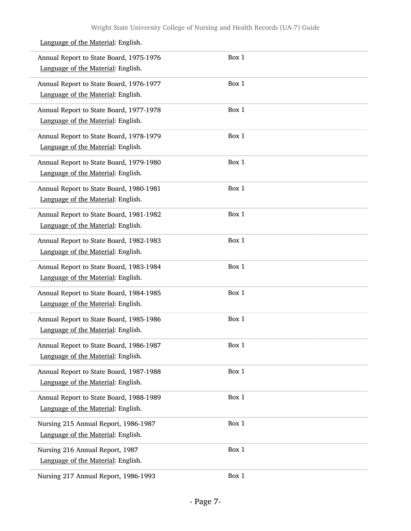| Annual Report to State Board, 1975-1976<br>Language of the Material: English. | Box 1 |
|-------------------------------------------------------------------------------|-------|
| Annual Report to State Board, 1976-1977<br>Language of the Material: English. | Box 1 |
| Annual Report to State Board, 1977-1978<br>Language of the Material: English. | Box 1 |
| Annual Report to State Board, 1978-1979<br>Language of the Material: English. | Box 1 |
| Annual Report to State Board, 1979-1980<br>Language of the Material: English. | Box 1 |
| Annual Report to State Board, 1980-1981<br>Language of the Material: English. | Box 1 |
| Annual Report to State Board, 1981-1982<br>Language of the Material: English. | Box 1 |
| Annual Report to State Board, 1982-1983<br>Language of the Material: English. | Box 1 |
| Annual Report to State Board, 1983-1984<br>Language of the Material: English. | Box 1 |
| Annual Report to State Board, 1984-1985<br>Language of the Material: English. | Box 1 |
| Annual Report to State Board, 1985-1986<br>Language of the Material: English. | Box 1 |
| Annual Report to State Board, 1986-1987<br>Language of the Material: English. | Box 1 |
| Annual Report to State Board, 1987-1988<br>Language of the Material: English. | Box 1 |
| Annual Report to State Board, 1988-1989<br>Language of the Material: English. | Box 1 |
| Nursing 215 Annual Report, 1986-1987<br>Language of the Material: English.    | Box 1 |
| Nursing 216 Annual Report, 1987<br>Language of the Material: English.         | Box 1 |
| Nursing 217 Annual Report, 1986-1993                                          | Box 1 |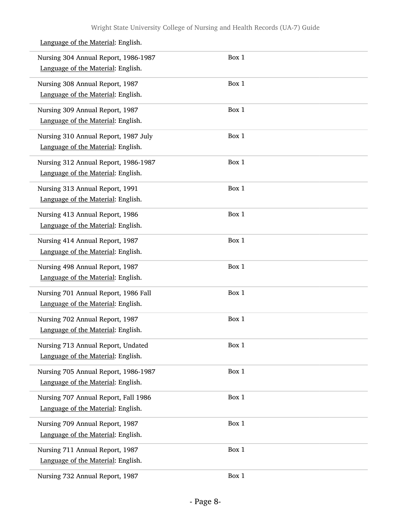| Nursing 304 Annual Report, 1986-1987<br>Language of the Material: English. | Box 1 |  |
|----------------------------------------------------------------------------|-------|--|
| Nursing 308 Annual Report, 1987<br>Language of the Material: English.      | Box 1 |  |
| Nursing 309 Annual Report, 1987<br>Language of the Material: English.      | Box 1 |  |
| Nursing 310 Annual Report, 1987 July<br>Language of the Material: English. | Box 1 |  |
| Nursing 312 Annual Report, 1986-1987<br>Language of the Material: English. | Box 1 |  |
| Nursing 313 Annual Report, 1991<br>Language of the Material: English.      | Box 1 |  |
| Nursing 413 Annual Report, 1986<br>Language of the Material: English.      | Box 1 |  |
| Nursing 414 Annual Report, 1987<br>Language of the Material: English.      | Box 1 |  |
| Nursing 498 Annual Report, 1987<br>Language of the Material: English.      | Box 1 |  |
| Nursing 701 Annual Report, 1986 Fall<br>Language of the Material: English. | Box 1 |  |
| Nursing 702 Annual Report, 1987<br>Language of the Material: English.      | Box 1 |  |
| Nursing 713 Annual Report, Undated<br>Language of the Material: English.   | Box 1 |  |
| Nursing 705 Annual Report, 1986-1987<br>Language of the Material: English. | Box 1 |  |
| Nursing 707 Annual Report, Fall 1986<br>Language of the Material: English. | Box 1 |  |
| Nursing 709 Annual Report, 1987<br>Language of the Material: English.      | Box 1 |  |
| Nursing 711 Annual Report, 1987<br>Language of the Material: English.      | Box 1 |  |
| Nursing 732 Annual Report, 1987                                            | Box 1 |  |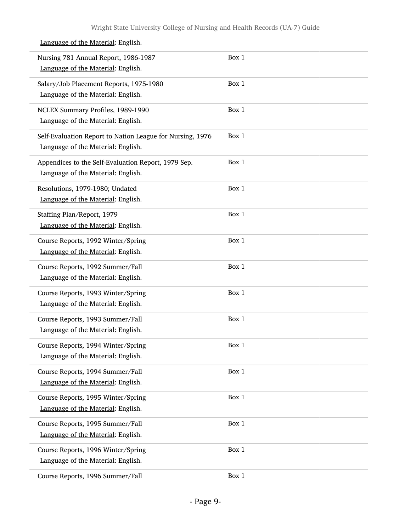| Nursing 781 Annual Report, 1986-1987<br>Language of the Material: English.                      | Box 1 |
|-------------------------------------------------------------------------------------------------|-------|
| Salary/Job Placement Reports, 1975-1980<br>Language of the Material: English.                   | Box 1 |
| NCLEX Summary Profiles, 1989-1990<br>Language of the Material: English.                         | Box 1 |
| Self-Evaluation Report to Nation League for Nursing, 1976<br>Language of the Material: English. | Box 1 |
| Appendices to the Self-Evaluation Report, 1979 Sep.<br>Language of the Material: English.       | Box 1 |
| Resolutions, 1979-1980; Undated<br>Language of the Material: English.                           | Box 1 |
| Staffing Plan/Report, 1979<br>Language of the Material: English.                                | Box 1 |
| Course Reports, 1992 Winter/Spring<br>Language of the Material: English.                        | Box 1 |
| Course Reports, 1992 Summer/Fall<br>Language of the Material: English.                          | Box 1 |
| Course Reports, 1993 Winter/Spring<br>Language of the Material: English.                        | Box 1 |
| Course Reports, 1993 Summer/Fall<br>Language of the Material: English.                          | Box 1 |
| Course Reports, 1994 Winter/Spring<br>Language of the Material: English.                        | Box 1 |
| Course Reports, 1994 Summer/Fall<br>Language of the Material: English.                          | Box 1 |
| Course Reports, 1995 Winter/Spring<br>Language of the Material: English.                        | Box 1 |
| Course Reports, 1995 Summer/Fall<br>Language of the Material: English.                          | Box 1 |
| Course Reports, 1996 Winter/Spring<br>Language of the Material: English.                        | Box 1 |
| Course Reports, 1996 Summer/Fall                                                                | Box 1 |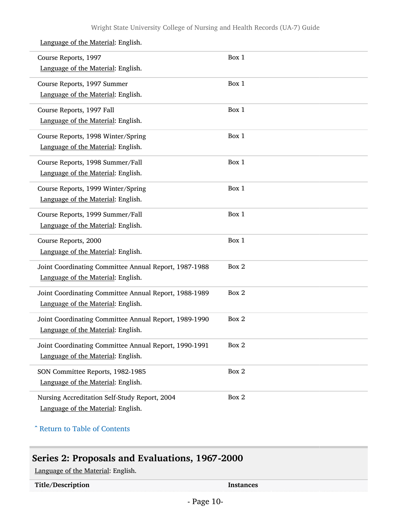| Course Reports, 1997<br>Language of the Material: English.                                  | Box 1 |
|---------------------------------------------------------------------------------------------|-------|
| Course Reports, 1997 Summer<br>Language of the Material: English.                           | Box 1 |
| Course Reports, 1997 Fall<br>Language of the Material: English.                             | Box 1 |
| Course Reports, 1998 Winter/Spring<br>Language of the Material: English.                    | Box 1 |
| Course Reports, 1998 Summer/Fall<br>Language of the Material: English.                      | Box 1 |
| Course Reports, 1999 Winter/Spring<br>Language of the Material: English.                    | Box 1 |
| Course Reports, 1999 Summer/Fall<br>Language of the Material: English.                      | Box 1 |
| Course Reports, 2000<br>Language of the Material: English.                                  | Box 1 |
| Joint Coordinating Committee Annual Report, 1987-1988<br>Language of the Material: English. | Box 2 |
| Joint Coordinating Committee Annual Report, 1988-1989<br>Language of the Material: English. | Box 2 |
| Joint Coordinating Committee Annual Report, 1989-1990<br>Language of the Material: English. | Box 2 |
| Joint Coordinating Committee Annual Report, 1990-1991<br>Language of the Material: English. | Box 2 |
| SON Committee Reports, 1982-1985<br>Language of the Material: English.                      | Box 2 |
| Nursing Accreditation Self-Study Report, 2004<br>Language of the Material: English.         | Box 2 |

^ [Return to Table of Contents](#page-1-0)

## <span id="page-9-0"></span>Series 2: Proposals and Evaluations, 1967-2000

Language of the Material: English.

Title/Description Instances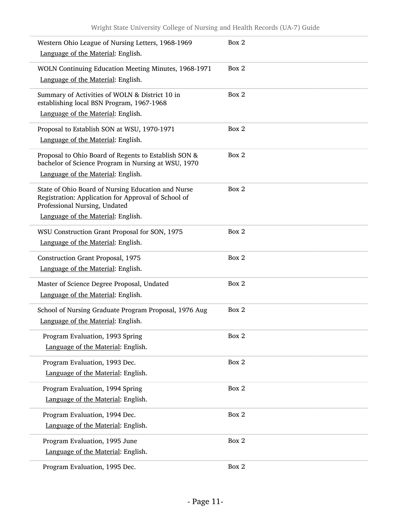| Western Ohio League of Nursing Letters, 1968-1969<br>Language of the Material: English.                                                    | Box 2 |
|--------------------------------------------------------------------------------------------------------------------------------------------|-------|
| WOLN Continuing Education Meeting Minutes, 1968-1971                                                                                       | Box 2 |
| Language of the Material: English.                                                                                                         |       |
| Summary of Activities of WOLN & District 10 in<br>establishing local BSN Program, 1967-1968                                                | Box 2 |
| Language of the Material: English.                                                                                                         |       |
| Proposal to Establish SON at WSU, 1970-1971                                                                                                | Box 2 |
| Language of the Material: English.                                                                                                         |       |
| Proposal to Ohio Board of Regents to Establish SON &<br>bachelor of Science Program in Nursing at WSU, 1970                                | Box 2 |
| Language of the Material: English.                                                                                                         |       |
| State of Ohio Board of Nursing Education and Nurse<br>Registration: Application for Approval of School of<br>Professional Nursing, Undated | Box 2 |
| Language of the Material: English.                                                                                                         |       |
| WSU Construction Grant Proposal for SON, 1975                                                                                              | Box 2 |
| Language of the Material: English.                                                                                                         |       |
| Construction Grant Proposal, 1975                                                                                                          | Box 2 |
| Language of the Material: English.                                                                                                         |       |
| Master of Science Degree Proposal, Undated                                                                                                 | Box 2 |
| Language of the Material: English.                                                                                                         |       |
| School of Nursing Graduate Program Proposal, 1976 Aug                                                                                      | Box 2 |
| Language of the Material: English.                                                                                                         |       |
| Program Evaluation, 1993 Spring                                                                                                            | Box 2 |
| Language of the Material: English.                                                                                                         |       |
| Program Evaluation, 1993 Dec.                                                                                                              | Box 2 |
| Language of the Material: English.                                                                                                         |       |
| Program Evaluation, 1994 Spring                                                                                                            | Box 2 |
| Language of the Material: English.                                                                                                         |       |
| Program Evaluation, 1994 Dec.                                                                                                              | Box 2 |
| Language of the Material: English.                                                                                                         |       |
| Program Evaluation, 1995 June                                                                                                              | Box 2 |
| Language of the Material: English.                                                                                                         |       |
| Program Evaluation, 1995 Dec.                                                                                                              | Box 2 |
|                                                                                                                                            |       |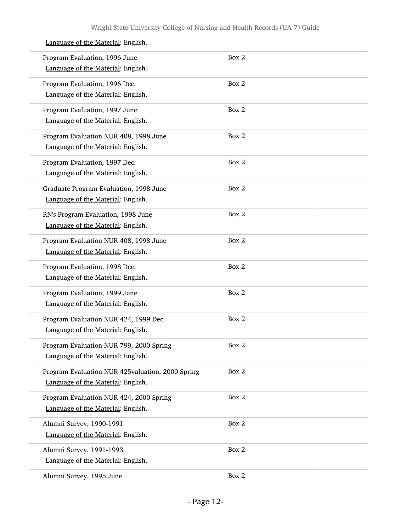#### Program Evaluation, 1996 June Language of the Material: English. Box 2 Program Evaluation, 1996 Dec. Language of the Material: English. Box 2 Program Evaluation, 1997 June Language of the Material: English. Box 2 Program Evaluation NUR 408, 1998 June Language of the Material: English. Box 2 Program Evaluation, 1997 Dec. Language of the Material: English. Box 2 Graduate Program Evaluation, 1998 June Language of the Material: English. Box 2 RN's Program Evaluation, 1998 June Language of the Material: English. Box 2 Program Evaluation NUR 408, 1998 June Language of the Material: English. Box 2 Program Evaluation, 1998 Dec. Language of the Material: English. Box 2 Program Evaluation, 1999 June Language of the Material: English. Box 2 Program Evaluation NUR 424, 1999 Dec. Language of the Material: English. Box 2 Program Evaluation NUR 799, 2000 Spring Language of the Material: English. Box 2 Program Evaluation NUR 425valuation, 2000 Spring Language of the Material: English. Box 2 Program Evaluation NUR 424, 2000 Spring Language of the Material: English. Box 2 Alumni Survey, 1990-1991 Language of the Material: English. Box 2 Alumni Survey, 1991-1993 Language of the Material: English. Box 2 Alumni Survey, 1995 June Box 2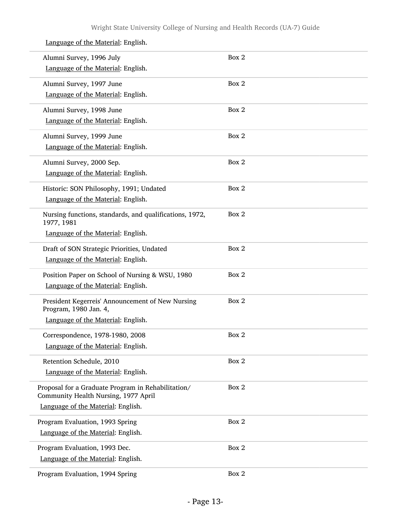| Alumni Survey, 1996 July                                                                   | Box 2 |
|--------------------------------------------------------------------------------------------|-------|
| Language of the Material: English.                                                         |       |
| Alumni Survey, 1997 June                                                                   | Box 2 |
| Language of the Material: English.                                                         |       |
| Alumni Survey, 1998 June                                                                   | Box 2 |
| Language of the Material: English.                                                         |       |
| Alumni Survey, 1999 June                                                                   | Box 2 |
| Language of the Material: English.                                                         |       |
| Alumni Survey, 2000 Sep.                                                                   | Box 2 |
| Language of the Material: English.                                                         |       |
| Historic: SON Philosophy, 1991; Undated                                                    | Box 2 |
| Language of the Material: English.                                                         |       |
| Nursing functions, standards, and qualifications, 1972,<br>1977, 1981                      | Box 2 |
| Language of the Material: English.                                                         |       |
| Draft of SON Strategic Priorities, Undated                                                 | Box 2 |
| Language of the Material: English.                                                         |       |
| Position Paper on School of Nursing & WSU, 1980                                            | Box 2 |
| Language of the Material: English.                                                         |       |
| President Kegerreis' Announcement of New Nursing<br>Program, 1980 Jan. 4,                  | Box 2 |
| Language of the Material: English.                                                         |       |
| Correspondence, 1978-1980, 2008                                                            | Box 2 |
| Language of the Material: English.                                                         |       |
| Retention Schedule, 2010                                                                   | Box 2 |
| Language of the Material: English.                                                         |       |
| Proposal for a Graduate Program in Rehabilitation/<br>Community Health Nursing, 1977 April | Box 2 |
| Language of the Material: English.                                                         |       |
| Program Evaluation, 1993 Spring                                                            | Box 2 |
| Language of the Material: English.                                                         |       |
| Program Evaluation, 1993 Dec.                                                              | Box 2 |
| Language of the Material: English.                                                         |       |
| Program Evaluation, 1994 Spring                                                            | Box 2 |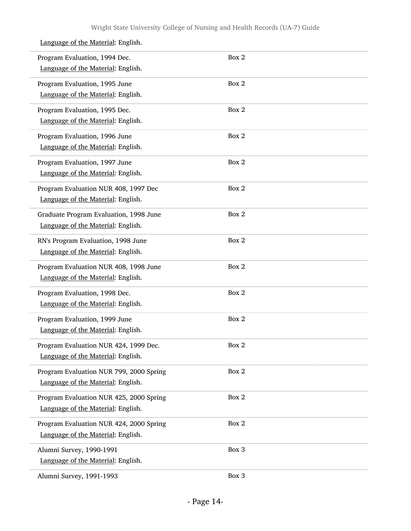#### Language of the Material: English. Program Evaluation, 1994 Dec. Language of the Material: English. Box 2 Program Evaluation, 1995 June Language of the Material: English. Box 2 Program Evaluation, 1995 Dec. Language of the Material: English. Box 2 Program Evaluation, 1996 June Language of the Material: English. Box 2 Program Evaluation, 1997 June Language of the Material: English. Box 2 Program Evaluation NUR 408, 1997 Dec Language of the Material: English. Box 2 Graduate Program Evaluation, 1998 June Language of the Material: English. Box 2 RN's Program Evaluation, 1998 June Language of the Material: English. Box 2 Program Evaluation NUR 408, 1998 June Language of the Material: English. Box 2 Program Evaluation, 1998 Dec. Language of the Material: English. Box 2 Program Evaluation, 1999 June Language of the Material: English. Box 2 Program Evaluation NUR 424, 1999 Dec. Language of the Material: English. Box 2 Program Evaluation NUR 799, 2000 Spring Language of the Material: English. Box 2 Program Evaluation NUR 425, 2000 Spring Language of the Material: English. Box 2 Program Evaluation NUR 424, 2000 Spring Language of the Material: English. Box 2 Alumni Survey, 1990-1991 Language of the Material: English. Box 3 Alumni Survey, 1991-1993 Box 3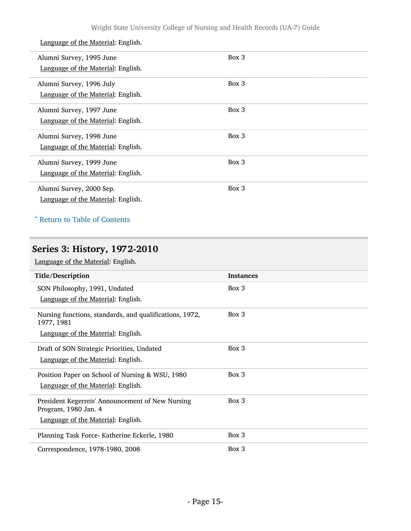| Alumni Survey, 1995 June<br>Language of the Material: English. | Box 3 |
|----------------------------------------------------------------|-------|
| Alumni Survey, 1996 July<br>Language of the Material: English. | Box 3 |
|                                                                |       |
| Alumni Survey, 1997 June<br>Language of the Material: English. | Box 3 |
| Alumni Survey, 1998 June<br>Language of the Material: English. | Box 3 |
| Alumni Survey, 1999 June<br>Language of the Material: English. | Box 3 |
| Alumni Survey, 2000 Sep.<br>Language of the Material: English. | Box 3 |

## ^ [Return to Table of Contents](#page-1-0)

## <span id="page-14-0"></span>Series 3: History, 1972-2010

| Title/Description                                                                                              | <b>Instances</b> |
|----------------------------------------------------------------------------------------------------------------|------------------|
| SON Philosophy, 1991, Undated<br>Language of the Material: English.                                            | Box 3            |
| Nursing functions, standards, and qualifications, 1972,<br>1977, 1981<br>Language of the Material: English.    | Box 3            |
| Draft of SON Strategic Priorities, Undated<br>Language of the Material: English.                               | Box 3            |
| Position Paper on School of Nursing & WSU, 1980<br>Language of the Material: English.                          | Box 3            |
| President Kegerreis' Announcement of New Nursing<br>Program, 1980 Jan. 4<br>Language of the Material: English. | Box 3            |
| Planning Task Force- Katherine Eckerle, 1980                                                                   | Box 3            |
| Correspondence, 1978-1980, 2008                                                                                | Box 3            |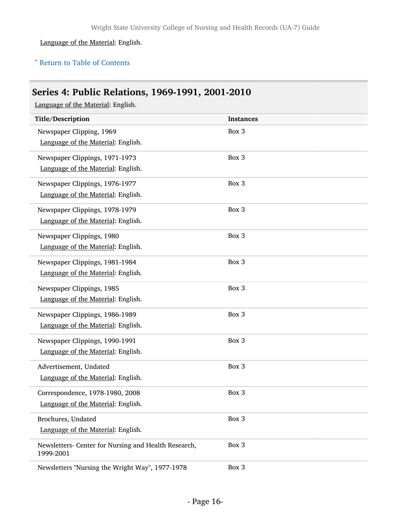### ^ [Return to Table of Contents](#page-1-0)

## <span id="page-15-0"></span>Series 4: Public Relations, 1969-1991, 2001-2010

| Title/Description                                                 | <b>Instances</b> |
|-------------------------------------------------------------------|------------------|
| Newspaper Clipping, 1969                                          | Box 3            |
| Language of the Material: English.                                |                  |
| Newspaper Clippings, 1971-1973                                    | Box 3            |
| Language of the Material: English.                                |                  |
| Newspaper Clippings, 1976-1977                                    | Box 3            |
| Language of the Material: English.                                |                  |
| Newspaper Clippings, 1978-1979                                    | Box 3            |
| Language of the Material: English.                                |                  |
| Newspaper Clippings, 1980                                         | Box 3            |
| Language of the Material: English.                                |                  |
| Newspaper Clippings, 1981-1984                                    | Box 3            |
| Language of the Material: English.                                |                  |
| Newspaper Clippings, 1985                                         | Box 3            |
| Language of the Material: English.                                |                  |
| Newspaper Clippings, 1986-1989                                    | Box 3            |
| Language of the Material: English.                                |                  |
| Newspaper Clippings, 1990-1991                                    | Box 3            |
| Language of the Material: English.                                |                  |
| Advertisement, Undated                                            | Box 3            |
| Language of the Material: English.                                |                  |
| Correspondence, 1978-1980, 2008                                   | Box 3            |
| Language of the Material: English.                                |                  |
| Brochures, Undated                                                | Box 3            |
| Language of the Material: English.                                |                  |
| Newsletters- Center for Nursing and Health Research,<br>1999-2001 | Box 3            |
| Newsletters "Nursing the Wright Way", 1977-1978                   | Box 3            |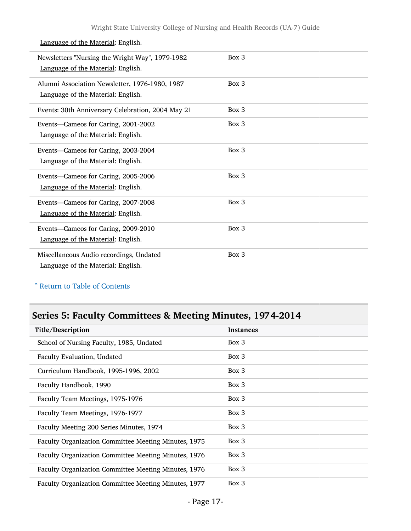| Newsletters "Nursing the Wright Way", 1979-1982<br>Language of the Material: English. | Box 3 |
|---------------------------------------------------------------------------------------|-------|
| Alumni Association Newsletter, 1976-1980, 1987<br>Language of the Material: English.  | Box 3 |
| Events: 30th Anniversary Celebration, 2004 May 21                                     | Box 3 |
| Events-Cameos for Caring, 2001-2002<br>Language of the Material: English.             | Box 3 |
| Events-Cameos for Caring, 2003-2004<br>Language of the Material: English.             | Box 3 |
| Events-Cameos for Caring, 2005-2006<br>Language of the Material: English.             | Box 3 |
| Events-Cameos for Caring, 2007-2008<br>Language of the Material: English.             | Box 3 |
| Events-Cameos for Caring, 2009-2010<br>Language of the Material: English.             | Box 3 |
| Miscellaneous Audio recordings, Undated<br>Language of the Material: English.         | Box 3 |

### ^ [Return to Table of Contents](#page-1-0)

## <span id="page-16-0"></span>Series 5: Faculty Committees & Meeting Minutes, 1974-2014

| Title/Description                                    | <b>Instances</b> |
|------------------------------------------------------|------------------|
| School of Nursing Faculty, 1985, Undated             | Box 3            |
| Faculty Evaluation, Undated                          | Box 3            |
| Curriculum Handbook, 1995-1996, 2002                 | Box 3            |
| Faculty Handbook, 1990                               | Box 3            |
| Faculty Team Meetings, 1975-1976                     | Box 3            |
| Faculty Team Meetings, 1976-1977                     | Box 3            |
| Faculty Meeting 200 Series Minutes, 1974             | Box 3            |
| Faculty Organization Committee Meeting Minutes, 1975 | Box 3            |
| Faculty Organization Committee Meeting Minutes, 1976 | Box 3            |
| Faculty Organization Committee Meeting Minutes, 1976 | Box 3            |
| Faculty Organization Committee Meeting Minutes, 1977 | Box 3            |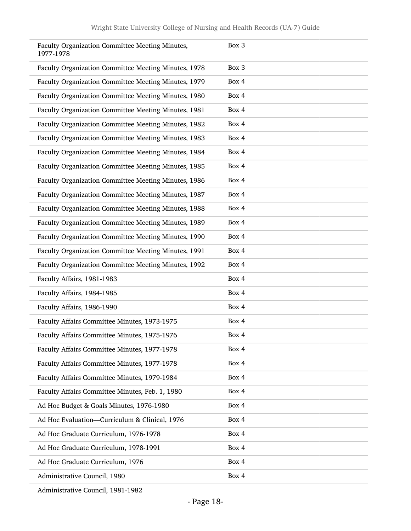| Faculty Organization Committee Meeting Minutes,<br>1977-1978 | Box 3 |
|--------------------------------------------------------------|-------|
| Faculty Organization Committee Meeting Minutes, 1978         | Box 3 |
| Faculty Organization Committee Meeting Minutes, 1979         | Box 4 |
| Faculty Organization Committee Meeting Minutes, 1980         | Box 4 |
| Faculty Organization Committee Meeting Minutes, 1981         | Box 4 |
| Faculty Organization Committee Meeting Minutes, 1982         | Box 4 |
| Faculty Organization Committee Meeting Minutes, 1983         | Box 4 |
| Faculty Organization Committee Meeting Minutes, 1984         | Box 4 |
| Faculty Organization Committee Meeting Minutes, 1985         | Box 4 |
| Faculty Organization Committee Meeting Minutes, 1986         | Box 4 |
| Faculty Organization Committee Meeting Minutes, 1987         | Box 4 |
| Faculty Organization Committee Meeting Minutes, 1988         | Box 4 |
| Faculty Organization Committee Meeting Minutes, 1989         | Box 4 |
| Faculty Organization Committee Meeting Minutes, 1990         | Box 4 |
| Faculty Organization Committee Meeting Minutes, 1991         | Box 4 |
| Faculty Organization Committee Meeting Minutes, 1992         | Box 4 |
| Faculty Affairs, 1981-1983                                   | Box 4 |
| Faculty Affairs, 1984-1985                                   | Box 4 |
| Faculty Affairs, 1986-1990                                   | Box 4 |
| Faculty Affairs Committee Minutes, 1973-1975                 | Box 4 |
| Faculty Affairs Committee Minutes, 1975-1976                 | Box 4 |
| Faculty Affairs Committee Minutes, 1977-1978                 | Box 4 |
| Faculty Affairs Committee Minutes, 1977-1978                 | Box 4 |
| Faculty Affairs Committee Minutes, 1979-1984                 | Box 4 |
| Faculty Affairs Committee Minutes, Feb. 1, 1980              | Box 4 |
| Ad Hoc Budget & Goals Minutes, 1976-1980                     | Box 4 |
| Ad Hoc Evaluation-Curriculum & Clinical, 1976                | Box 4 |
| Ad Hoc Graduate Curriculum, 1976-1978                        | Box 4 |
| Ad Hoc Graduate Curriculum, 1978-1991                        | Box 4 |
| Ad Hoc Graduate Curriculum, 1976                             | Box 4 |
| Administrative Council, 1980                                 | Box 4 |
|                                                              |       |

Administrative Council, 1981-1982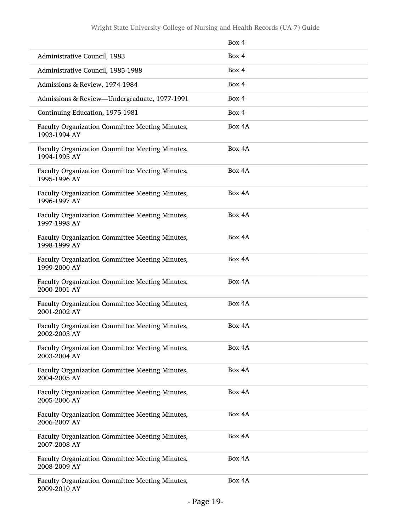|                                                                 | Box 4  |
|-----------------------------------------------------------------|--------|
| Administrative Council, 1983                                    | Box 4  |
| Administrative Council, 1985-1988                               | Box 4  |
| Admissions & Review, 1974-1984                                  | Box 4  |
| Admissions & Review-Undergraduate, 1977-1991                    | Box 4  |
| Continuing Education, 1975-1981                                 | Box 4  |
| Faculty Organization Committee Meeting Minutes,<br>1993-1994 AY | Box 4A |
| Faculty Organization Committee Meeting Minutes,<br>1994-1995 AY | Box 4A |
| Faculty Organization Committee Meeting Minutes,<br>1995-1996 AY | Box 4A |
| Faculty Organization Committee Meeting Minutes,<br>1996-1997 AY | Box 4A |
| Faculty Organization Committee Meeting Minutes,<br>1997-1998 AY | Box 4A |
| Faculty Organization Committee Meeting Minutes,<br>1998-1999 AY | Box 4A |
| Faculty Organization Committee Meeting Minutes,<br>1999-2000 AY | Box 4A |
| Faculty Organization Committee Meeting Minutes,<br>2000-2001 AY | Box 4A |
| Faculty Organization Committee Meeting Minutes,<br>2001-2002 AY | Box 4A |
| Faculty Organization Committee Meeting Minutes,<br>2002-2003 AY | Box 4A |
| Faculty Organization Committee Meeting Minutes,<br>2003-2004 AY | Box 4A |
| Faculty Organization Committee Meeting Minutes,<br>2004-2005 AY | Box 4A |
| Faculty Organization Committee Meeting Minutes,<br>2005-2006 AY | Box 4A |
| Faculty Organization Committee Meeting Minutes,<br>2006-2007 AY | Box 4A |
| Faculty Organization Committee Meeting Minutes,<br>2007-2008 AY | Box 4A |
| Faculty Organization Committee Meeting Minutes,<br>2008-2009 AY | Box 4A |
| Faculty Organization Committee Meeting Minutes,<br>2009-2010 AY | Box 4A |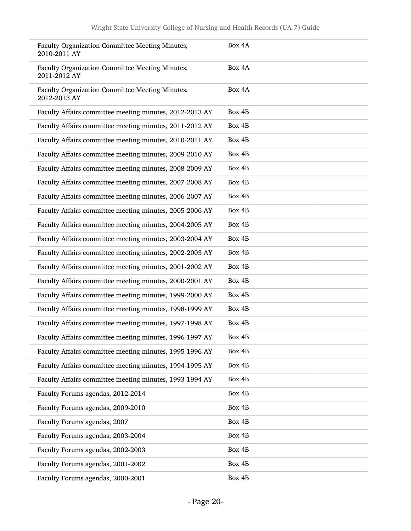| Faculty Organization Committee Meeting Minutes,<br>2010-2011 AY | Box 4A |
|-----------------------------------------------------------------|--------|
| Faculty Organization Committee Meeting Minutes,<br>2011-2012 AY | Box 4A |
| Faculty Organization Committee Meeting Minutes,<br>2012-2013 AY | Box 4A |
| Faculty Affairs committee meeting minutes, 2012-2013 AY         | Box 4B |
| Faculty Affairs committee meeting minutes, 2011-2012 AY         | Box 4B |
| Faculty Affairs committee meeting minutes, 2010-2011 AY         | Box 4B |
| Faculty Affairs committee meeting minutes, 2009-2010 AY         | Box 4B |
| Faculty Affairs committee meeting minutes, 2008-2009 AY         | Box 4B |
| Faculty Affairs committee meeting minutes, 2007-2008 AY         | Box 4B |
| Faculty Affairs committee meeting minutes, 2006-2007 AY         | Box 4B |
| Faculty Affairs committee meeting minutes, 2005-2006 AY         | Box 4B |
| Faculty Affairs committee meeting minutes, 2004-2005 AY         | Box 4B |
| Faculty Affairs committee meeting minutes, 2003-2004 AY         | Box 4B |
| Faculty Affairs committee meeting minutes, 2002-2003 AY         | Box 4B |
| Faculty Affairs committee meeting minutes, 2001-2002 AY         | Box 4B |
| Faculty Affairs committee meeting minutes, 2000-2001 AY         | Box 4B |
| Faculty Affairs committee meeting minutes, 1999-2000 AY         | Box 4B |
| Faculty Affairs committee meeting minutes, 1998-1999 AY         | Box 4B |
| Faculty Affairs committee meeting minutes, 1997-1998 AY         | Box 4B |
| Faculty Affairs committee meeting minutes, 1996-1997 AY         | Box 4B |
| Faculty Affairs committee meeting minutes, 1995-1996 AY         | Box 4B |
| Faculty Affairs committee meeting minutes, 1994-1995 AY         | Box 4B |
| Faculty Affairs committee meeting minutes, 1993-1994 AY         | Box 4B |
| Faculty Forums agendas, 2012-2014                               | Box 4B |
| Faculty Forums agendas, 2009-2010                               | Box 4B |
| Faculty Forums agendas, 2007                                    | Box 4B |
| Faculty Forums agendas, 2003-2004                               | Box 4B |
| Faculty Forums agendas, 2002-2003                               | Box 4B |
| Faculty Forums agendas, 2001-2002                               | Box 4B |
| Faculty Forums agendas, 2000-2001                               | Box 4B |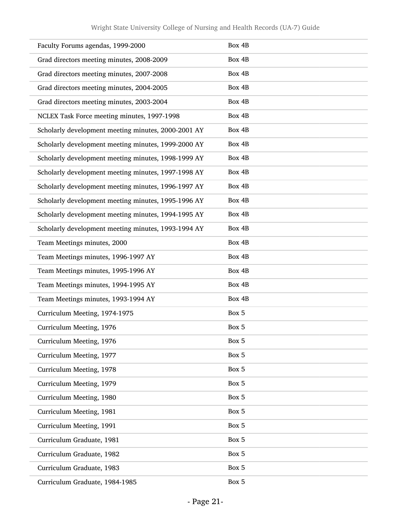| Faculty Forums agendas, 1999-2000                   | Box 4B |
|-----------------------------------------------------|--------|
| Grad directors meeting minutes, 2008-2009           | Box 4B |
| Grad directors meeting minutes, 2007-2008           | Box 4B |
| Grad directors meeting minutes, 2004-2005           | Box 4B |
| Grad directors meeting minutes, 2003-2004           | Box 4B |
| NCLEX Task Force meeting minutes, 1997-1998         | Box 4B |
| Scholarly development meeting minutes, 2000-2001 AY | Box 4B |
| Scholarly development meeting minutes, 1999-2000 AY | Box 4B |
| Scholarly development meeting minutes, 1998-1999 AY | Box 4B |
| Scholarly development meeting minutes, 1997-1998 AY | Box 4B |
| Scholarly development meeting minutes, 1996-1997 AY | Box 4B |
| Scholarly development meeting minutes, 1995-1996 AY | Box 4B |
| Scholarly development meeting minutes, 1994-1995 AY | Box 4B |
| Scholarly development meeting minutes, 1993-1994 AY | Box 4B |
| Team Meetings minutes, 2000                         | Box 4B |
| Team Meetings minutes, 1996-1997 AY                 | Box 4B |
| Team Meetings minutes, 1995-1996 AY                 | Box 4B |
| Team Meetings minutes, 1994-1995 AY                 | Box 4B |
| Team Meetings minutes, 1993-1994 AY                 | Box 4B |
| Curriculum Meeting, 1974-1975                       | Box 5  |
| Curriculum Meeting, 1976                            | Box 5  |
| Curriculum Meeting, 1976                            | Box 5  |
| Curriculum Meeting, 1977                            | Box 5  |
| Curriculum Meeting, 1978                            | Box 5  |
| Curriculum Meeting, 1979                            | Box 5  |
| Curriculum Meeting, 1980                            | Box 5  |
| Curriculum Meeting, 1981                            | Box 5  |
| Curriculum Meeting, 1991                            | Box 5  |
| Curriculum Graduate, 1981                           | Box 5  |
| Curriculum Graduate, 1982                           | Box 5  |
| Curriculum Graduate, 1983                           | Box 5  |
| Curriculum Graduate, 1984-1985                      | Box 5  |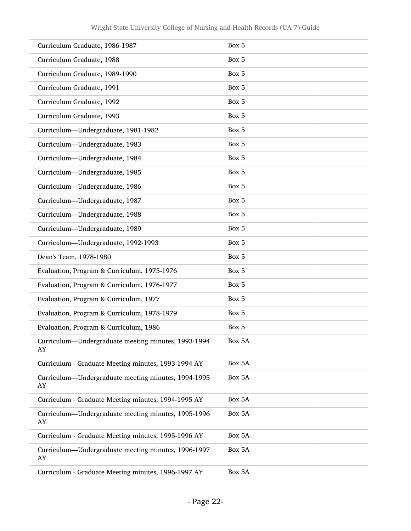| Curriculum Graduate, 1986-1987                            | Box 5  |
|-----------------------------------------------------------|--------|
| Curriculum Graduate, 1988                                 | Box 5  |
| Curriculum Graduate, 1989-1990                            | Box 5  |
| Curriculum Graduate, 1991                                 | Box 5  |
| Curriculum Graduate, 1992                                 | Box 5  |
| Curriculum Graduate, 1993                                 | Box 5  |
| Curriculum-Undergraduate, 1981-1982                       | Box 5  |
| Curriculum-Undergraduate, 1983                            | Box 5  |
| Curriculum-Undergraduate, 1984                            | Box 5  |
| Curriculum-Undergraduate, 1985                            | Box 5  |
| Curriculum-Undergraduate, 1986                            | Box 5  |
| Curriculum-Undergraduate, 1987                            | Box 5  |
| Curriculum-Undergraduate, 1988                            | Box 5  |
| Curriculum-Undergraduate, 1989                            | Box 5  |
| Curriculum-Undergraduate, 1992-1993                       | Box 5  |
| Dean's Team, 1978-1980                                    | Box 5  |
| Evaluation, Program & Curriculum, 1975-1976               | Box 5  |
| Evaluation, Program & Curriculum, 1976-1977               | Box 5  |
| Evaluation, Program & Curriculum, 1977                    | Box 5  |
| Evaluation, Program & Curriculum, 1978-1979               | Box 5  |
| Evaluation, Program & Curriculum, 1986                    | Box 5  |
| Curriculum—Undergraduate meeting minutes, 1993-1994<br>AY | Box 5A |
| Curriculum - Graduate Meeting minutes, 1993-1994 AY       | Box 5A |
| Curriculum—Undergraduate meeting minutes, 1994-1995<br>AY | Box 5A |
| Curriculum - Graduate Meeting minutes, 1994-1995 AY       | Box 5A |
| Curriculum-Undergraduate meeting minutes, 1995-1996<br>AY | Box 5A |
| Curriculum - Graduate Meeting minutes, 1995-1996 AY       | Box 5A |
| Curriculum—Undergraduate meeting minutes, 1996-1997<br>AY | Box 5A |
| Curriculum - Graduate Meeting minutes, 1996-1997 AY       | Box 5A |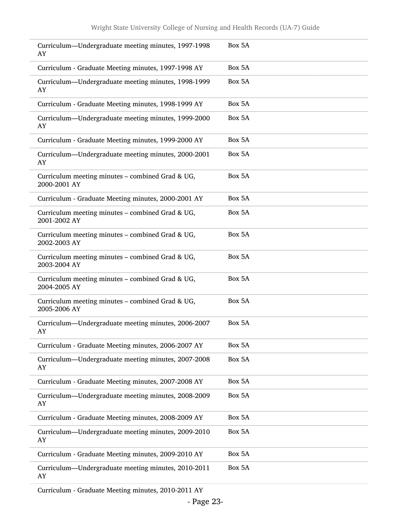| Curriculum—Undergraduate meeting minutes, 1997-1998<br>AY        | Box 5A |
|------------------------------------------------------------------|--------|
| Curriculum - Graduate Meeting minutes, 1997-1998 AY              | Box 5A |
| Curriculum-Undergraduate meeting minutes, 1998-1999<br>AY        | Box 5A |
| Curriculum - Graduate Meeting minutes, 1998-1999 AY              | Box 5A |
| Curriculum—Undergraduate meeting minutes, 1999-2000<br>AY        | Box 5A |
| Curriculum - Graduate Meeting minutes, 1999-2000 AY              | Box 5A |
| Curriculum-Undergraduate meeting minutes, 2000-2001<br>AY        | Box 5A |
| Curriculum meeting minutes - combined Grad & UG,<br>2000-2001 AY | Box 5A |
| Curriculum - Graduate Meeting minutes, 2000-2001 AY              | Box 5A |
| Curriculum meeting minutes - combined Grad & UG,<br>2001-2002 AY | Box 5A |
| Curriculum meeting minutes - combined Grad & UG,<br>2002-2003 AY | Box 5A |
| Curriculum meeting minutes - combined Grad & UG,<br>2003-2004 AY | Box 5A |
| Curriculum meeting minutes - combined Grad & UG,<br>2004-2005 AY | Box 5A |
| Curriculum meeting minutes – combined Grad & UG,<br>2005-2006 AY | Box 5A |
| Curriculum-Undergraduate meeting minutes, 2006-2007<br>AY        | Box 5A |
| Curriculum - Graduate Meeting minutes, 2006-2007 AY              | Box 5A |
| Curriculum-Undergraduate meeting minutes, 2007-2008<br>AY        | Box 5A |
| Curriculum - Graduate Meeting minutes, 2007-2008 AY              | Box 5A |
| Curriculum-Undergraduate meeting minutes, 2008-2009<br>AY        | Box 5A |
| Curriculum - Graduate Meeting minutes, 2008-2009 AY              | Box 5A |
| Curriculum-Undergraduate meeting minutes, 2009-2010<br>AY        | Box 5A |
| Curriculum - Graduate Meeting minutes, 2009-2010 AY              | Box 5A |
| Curriculum-Undergraduate meeting minutes, 2010-2011<br>AY        | Box 5A |

Curriculum - Graduate Meeting minutes, 2010-2011 AY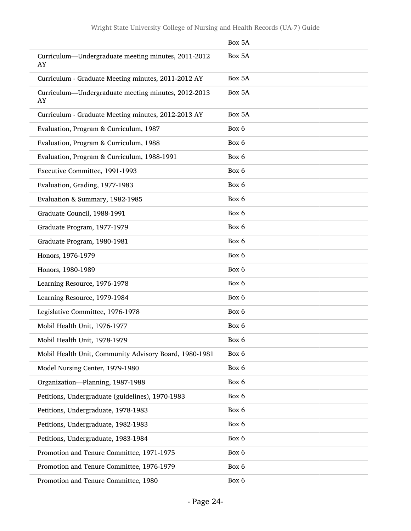|                                                           | Box 5A |
|-----------------------------------------------------------|--------|
| Curriculum-Undergraduate meeting minutes, 2011-2012<br>AY | Box 5A |
| Curriculum - Graduate Meeting minutes, 2011-2012 AY       | Box 5A |
| Curriculum-Undergraduate meeting minutes, 2012-2013<br>AY | Box 5A |
| Curriculum - Graduate Meeting minutes, 2012-2013 AY       | Box 5A |
| Evaluation, Program & Curriculum, 1987                    | Box 6  |
| Evaluation, Program & Curriculum, 1988                    | Box 6  |
| Evaluation, Program & Curriculum, 1988-1991               | Box 6  |
| Executive Committee, 1991-1993                            | Box 6  |
| Evaluation, Grading, 1977-1983                            | Box 6  |
| Evaluation & Summary, 1982-1985                           | Box 6  |
| Graduate Council, 1988-1991                               | Box 6  |
| Graduate Program, 1977-1979                               | Box 6  |
| Graduate Program, 1980-1981                               | Box 6  |
| Honors, 1976-1979                                         | Box 6  |
| Honors, 1980-1989                                         | Box 6  |
| Learning Resource, 1976-1978                              | Box 6  |
| Learning Resource, 1979-1984                              | Box 6  |
| Legislative Committee, 1976-1978                          | Box 6  |
| Mobil Health Unit, 1976-1977                              | Box 6  |
| Mobil Health Unit, 1978-1979                              | Box 6  |
| Mobil Health Unit, Community Advisory Board, 1980-1981    | Box 6  |
| Model Nursing Center, 1979-1980                           | Box 6  |
| Organization-Planning, 1987-1988                          | Box 6  |
| Petitions, Undergraduate (guidelines), 1970-1983          | Box 6  |
| Petitions, Undergraduate, 1978-1983                       | Box 6  |
| Petitions, Undergraduate, 1982-1983                       | Box 6  |
| Petitions, Undergraduate, 1983-1984                       | Box 6  |
| Promotion and Tenure Committee, 1971-1975                 | Box 6  |
| Promotion and Tenure Committee, 1976-1979                 | Box 6  |
| Promotion and Tenure Committee, 1980                      | Box 6  |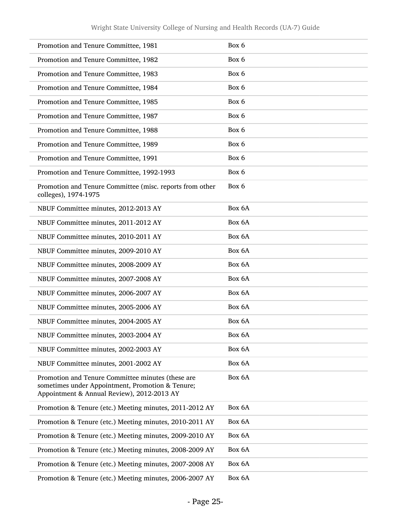| Promotion and Tenure Committee, 1981                                                                                                                | Box 6  |
|-----------------------------------------------------------------------------------------------------------------------------------------------------|--------|
| Promotion and Tenure Committee, 1982                                                                                                                | Box 6  |
| Promotion and Tenure Committee, 1983                                                                                                                | Box 6  |
| Promotion and Tenure Committee, 1984                                                                                                                | Box 6  |
| Promotion and Tenure Committee, 1985                                                                                                                | Box 6  |
| Promotion and Tenure Committee, 1987                                                                                                                | Box 6  |
| Promotion and Tenure Committee, 1988                                                                                                                | Box 6  |
| Promotion and Tenure Committee, 1989                                                                                                                | Box 6  |
| Promotion and Tenure Committee, 1991                                                                                                                | Box 6  |
| Promotion and Tenure Committee, 1992-1993                                                                                                           | Box 6  |
| Promotion and Tenure Committee (misc. reports from other<br>colleges), 1974-1975                                                                    | Box 6  |
| NBUF Committee minutes, 2012-2013 AY                                                                                                                | Box 6A |
| NBUF Committee minutes, 2011-2012 AY                                                                                                                | Box 6A |
| NBUF Committee minutes, 2010-2011 AY                                                                                                                | Box 6A |
| NBUF Committee minutes, 2009-2010 AY                                                                                                                | Box 6A |
| NBUF Committee minutes, 2008-2009 AY                                                                                                                | Box 6A |
| NBUF Committee minutes, 2007-2008 AY                                                                                                                | Box 6A |
| NBUF Committee minutes, 2006-2007 AY                                                                                                                | Box 6A |
| NBUF Committee minutes, 2005-2006 AY                                                                                                                | Box 6A |
| NBUF Committee minutes, 2004-2005 AY                                                                                                                | Box 6A |
| NBUF Committee minutes, 2003-2004 AY                                                                                                                | Box 6A |
| NBUF Committee minutes, 2002-2003 AY                                                                                                                | Box 6A |
| NBUF Committee minutes, 2001-2002 AY                                                                                                                | Box 6A |
| Promotion and Tenure Committee minutes (these are<br>sometimes under Appointment, Promotion & Tenure;<br>Appointment & Annual Review), 2012-2013 AY | Box 6A |
| Promotion & Tenure (etc.) Meeting minutes, 2011-2012 AY                                                                                             | Box 6A |
| Promotion & Tenure (etc.) Meeting minutes, 2010-2011 AY                                                                                             | Box 6A |
| Promotion & Tenure (etc.) Meeting minutes, 2009-2010 AY                                                                                             | Box 6A |
| Promotion & Tenure (etc.) Meeting minutes, 2008-2009 AY                                                                                             | Box 6A |
| Promotion & Tenure (etc.) Meeting minutes, 2007-2008 AY                                                                                             | Box 6A |
| Promotion & Tenure (etc.) Meeting minutes, 2006-2007 AY                                                                                             | Box 6A |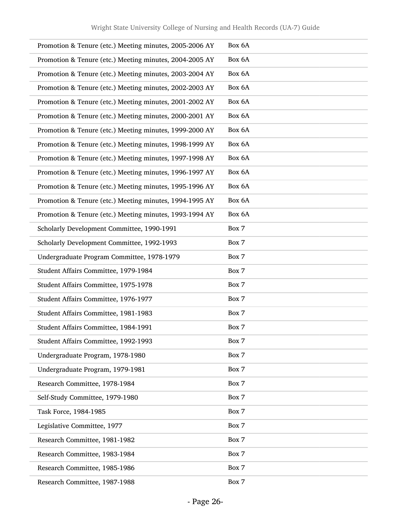| Promotion & Tenure (etc.) Meeting minutes, 2005-2006 AY | Box 6A |
|---------------------------------------------------------|--------|
| Promotion & Tenure (etc.) Meeting minutes, 2004-2005 AY | Box 6A |
| Promotion & Tenure (etc.) Meeting minutes, 2003-2004 AY | Box 6A |
| Promotion & Tenure (etc.) Meeting minutes, 2002-2003 AY | Box 6A |
| Promotion & Tenure (etc.) Meeting minutes, 2001-2002 AY | Box 6A |
| Promotion & Tenure (etc.) Meeting minutes, 2000-2001 AY | Box 6A |
| Promotion & Tenure (etc.) Meeting minutes, 1999-2000 AY | Box 6A |
| Promotion & Tenure (etc.) Meeting minutes, 1998-1999 AY | Box 6A |
| Promotion & Tenure (etc.) Meeting minutes, 1997-1998 AY | Box 6A |
| Promotion & Tenure (etc.) Meeting minutes, 1996-1997 AY | Box 6A |
| Promotion & Tenure (etc.) Meeting minutes, 1995-1996 AY | Box 6A |
| Promotion & Tenure (etc.) Meeting minutes, 1994-1995 AY | Box 6A |
| Promotion & Tenure (etc.) Meeting minutes, 1993-1994 AY | Box 6A |
| Scholarly Development Committee, 1990-1991              | Box 7  |
| Scholarly Development Committee, 1992-1993              | Box 7  |
| Undergraduate Program Committee, 1978-1979              | Box 7  |
| Student Affairs Committee, 1979-1984                    | Box 7  |
| Student Affairs Committee, 1975-1978                    | Box 7  |
| Student Affairs Committee, 1976-1977                    | Box 7  |
| Student Affairs Committee, 1981-1983                    | Box 7  |
| Student Affairs Committee, 1984-1991                    | Box 7  |
| Student Affairs Committee, 1992-1993                    | Box 7  |
| Undergraduate Program, 1978-1980                        | Box 7  |
| Undergraduate Program, 1979-1981                        | Box 7  |
| Research Committee, 1978-1984                           | Box 7  |
| Self-Study Committee, 1979-1980                         | Box 7  |
| Task Force, 1984-1985                                   | Box 7  |
| Legislative Committee, 1977                             | Box 7  |
| Research Committee, 1981-1982                           | Box 7  |
| Research Committee, 1983-1984                           | Box 7  |
| Research Committee, 1985-1986                           | Box 7  |
| Research Committee, 1987-1988                           | Box 7  |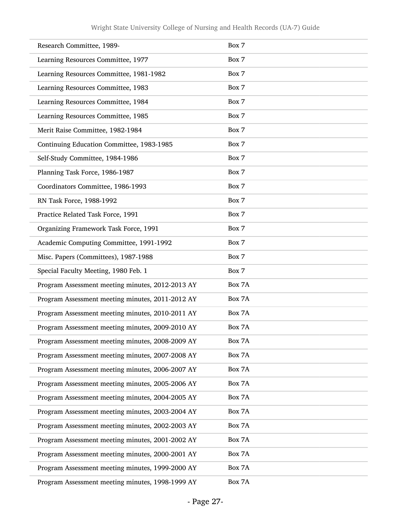| Research Committee, 1989-                        | Box 7  |
|--------------------------------------------------|--------|
| Learning Resources Committee, 1977               | Box 7  |
| Learning Resources Committee, 1981-1982          | Box 7  |
| Learning Resources Committee, 1983               | Box 7  |
| Learning Resources Committee, 1984               | Box 7  |
| Learning Resources Committee, 1985               | Box 7  |
| Merit Raise Committee, 1982-1984                 | Box 7  |
| Continuing Education Committee, 1983-1985        | Box 7  |
| Self-Study Committee, 1984-1986                  | Box 7  |
| Planning Task Force, 1986-1987                   | Box 7  |
| Coordinators Committee, 1986-1993                | Box 7  |
| RN Task Force, 1988-1992                         | Box 7  |
| Practice Related Task Force, 1991                | Box 7  |
| Organizing Framework Task Force, 1991            | Box 7  |
| Academic Computing Committee, 1991-1992          | Box 7  |
| Misc. Papers (Committees), 1987-1988             | Box 7  |
| Special Faculty Meeting, 1980 Feb. 1             | Box 7  |
| Program Assessment meeting minutes, 2012-2013 AY | Box 7A |
| Program Assessment meeting minutes, 2011-2012 AY | Box 7A |
| Program Assessment meeting minutes, 2010-2011 AY | Box 7A |
| Program Assessment meeting minutes, 2009-2010 AY | Box 7A |
| Program Assessment meeting minutes, 2008-2009 AY | Box 7A |
| Program Assessment meeting minutes, 2007-2008 AY | Box 7A |
| Program Assessment meeting minutes, 2006-2007 AY | Box 7A |
| Program Assessment meeting minutes, 2005-2006 AY | Box 7A |
| Program Assessment meeting minutes, 2004-2005 AY | Box 7A |
| Program Assessment meeting minutes, 2003-2004 AY | Box 7A |
| Program Assessment meeting minutes, 2002-2003 AY | Box 7A |
| Program Assessment meeting minutes, 2001-2002 AY | Box 7A |
| Program Assessment meeting minutes, 2000-2001 AY | Box 7A |
| Program Assessment meeting minutes, 1999-2000 AY | Box 7A |
| Program Assessment meeting minutes, 1998-1999 AY | Box 7A |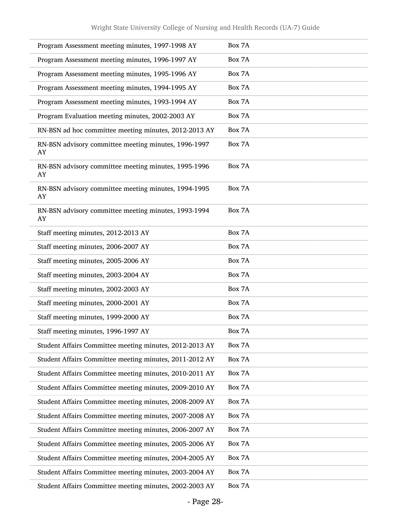| Program Assessment meeting minutes, 1997-1998 AY           | Box 7A |
|------------------------------------------------------------|--------|
| Program Assessment meeting minutes, 1996-1997 AY           | Box 7A |
| Program Assessment meeting minutes, 1995-1996 AY           | Box 7A |
| Program Assessment meeting minutes, 1994-1995 AY           | Box 7A |
| Program Assessment meeting minutes, 1993-1994 AY           | Box 7A |
| Program Evaluation meeting minutes, 2002-2003 AY           | Box 7A |
| RN-BSN ad hoc committee meeting minutes, 2012-2013 AY      | Box 7A |
| RN-BSN advisory committee meeting minutes, 1996-1997<br>AY | Box 7A |
| RN-BSN advisory committee meeting minutes, 1995-1996<br>AY | Box 7A |
| RN-BSN advisory committee meeting minutes, 1994-1995<br>AY | Box 7A |
| RN-BSN advisory committee meeting minutes, 1993-1994<br>AY | Box 7A |
| Staff meeting minutes, 2012-2013 AY                        | Box 7A |
| Staff meeting minutes, 2006-2007 AY                        | Box 7A |
| Staff meeting minutes, 2005-2006 AY                        | Box 7A |
| Staff meeting minutes, 2003-2004 AY                        | Box 7A |
| Staff meeting minutes, 2002-2003 AY                        | Box 7A |
| Staff meeting minutes, 2000-2001 AY                        | Box 7A |
| Staff meeting minutes, 1999-2000 AY                        | Box 7A |
| Staff meeting minutes, 1996-1997 AY                        | Box 7A |
| Student Affairs Committee meeting minutes, 2012-2013 AY    | Box 7A |
| Student Affairs Committee meeting minutes, 2011-2012 AY    | Box 7A |
| Student Affairs Committee meeting minutes, 2010-2011 AY    | Box 7A |
| Student Affairs Committee meeting minutes, 2009-2010 AY    | Box 7A |
| Student Affairs Committee meeting minutes, 2008-2009 AY    | Box 7A |
| Student Affairs Committee meeting minutes, 2007-2008 AY    | Box 7A |
| Student Affairs Committee meeting minutes, 2006-2007 AY    | Box 7A |
| Student Affairs Committee meeting minutes, 2005-2006 AY    | Box 7A |
| Student Affairs Committee meeting minutes, 2004-2005 AY    | Box 7A |
| Student Affairs Committee meeting minutes, 2003-2004 AY    | Box 7A |
| Student Affairs Committee meeting minutes, 2002-2003 AY    | Box 7A |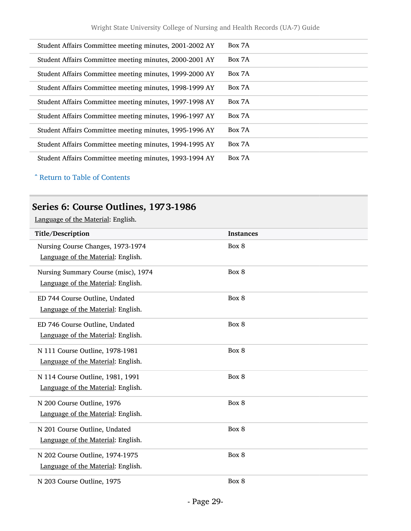| Student Affairs Committee meeting minutes, 2001-2002 AY | Box 7A |
|---------------------------------------------------------|--------|
| Student Affairs Committee meeting minutes, 2000-2001 AY | Box 7A |
| Student Affairs Committee meeting minutes, 1999-2000 AY | Box 7A |
| Student Affairs Committee meeting minutes, 1998-1999 AY | Box 7A |
| Student Affairs Committee meeting minutes, 1997-1998 AY | Box 7A |
| Student Affairs Committee meeting minutes, 1996-1997 AY | Box 7A |
| Student Affairs Committee meeting minutes, 1995-1996 AY | Box 7A |
| Student Affairs Committee meeting minutes, 1994-1995 AY | Box 7A |
| Student Affairs Committee meeting minutes, 1993-1994 AY | Box 7A |

^ [Return to Table of Contents](#page-1-0)

## <span id="page-28-0"></span>Series 6: Course Outlines, 1973-1986

| Title/Description                   | <b>Instances</b> |
|-------------------------------------|------------------|
| Nursing Course Changes, 1973-1974   | Box 8            |
| Language of the Material: English.  |                  |
| Nursing Summary Course (misc), 1974 | Box 8            |
| Language of the Material: English.  |                  |
| ED 744 Course Outline, Undated      | Box 8            |
| Language of the Material: English.  |                  |
| ED 746 Course Outline, Undated      | Box 8            |
| Language of the Material: English.  |                  |
| N 111 Course Outline, 1978-1981     | Box 8            |
| Language of the Material: English.  |                  |
| N 114 Course Outline, 1981, 1991    | Box 8            |
| Language of the Material: English.  |                  |
| N 200 Course Outline, 1976          | Box 8            |
| Language of the Material: English.  |                  |
| N 201 Course Outline, Undated       | Box 8            |
| Language of the Material: English.  |                  |
| N 202 Course Outline, 1974-1975     | Box 8            |
| Language of the Material: English.  |                  |
| N 203 Course Outline, 1975          | Box 8            |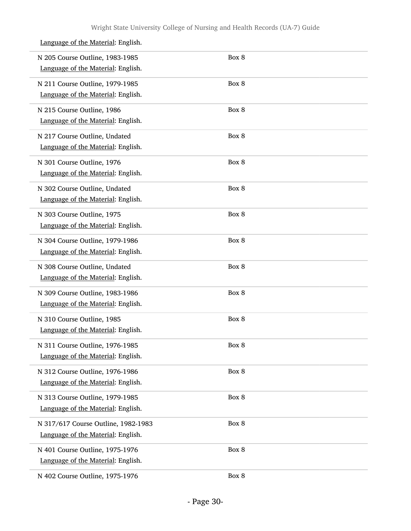| N 205 Course Outline, 1983-1985<br>Language of the Material: English.     | Box 8 |  |
|---------------------------------------------------------------------------|-------|--|
| N 211 Course Outline, 1979-1985<br>Language of the Material: English.     | Box 8 |  |
| N 215 Course Outline, 1986<br>Language of the Material: English.          | Box 8 |  |
| N 217 Course Outline, Undated<br>Language of the Material: English.       | Box 8 |  |
| N 301 Course Outline, 1976<br>Language of the Material: English.          | Box 8 |  |
| N 302 Course Outline, Undated<br>Language of the Material: English.       | Box 8 |  |
| N 303 Course Outline, 1975<br>Language of the Material: English.          | Box 8 |  |
| N 304 Course Outline, 1979-1986<br>Language of the Material: English.     | Box 8 |  |
| N 308 Course Outline, Undated<br>Language of the Material: English.       | Box 8 |  |
| N 309 Course Outline, 1983-1986<br>Language of the Material: English.     | Box 8 |  |
| N 310 Course Outline, 1985<br>Language of the Material: English.          | Box 8 |  |
| N 311 Course Outline, 1976-1985<br>Language of the Material: English.     | Box 8 |  |
| N 312 Course Outline, 1976-1986<br>Language of the Material: English.     | Box 8 |  |
| N 313 Course Outline, 1979-1985<br>Language of the Material: English.     | Box 8 |  |
| N 317/617 Course Outline, 1982-1983<br>Language of the Material: English. | Box 8 |  |
| N 401 Course Outline, 1975-1976<br>Language of the Material: English.     | Box 8 |  |
| N 402 Course Outline, 1975-1976                                           | Box 8 |  |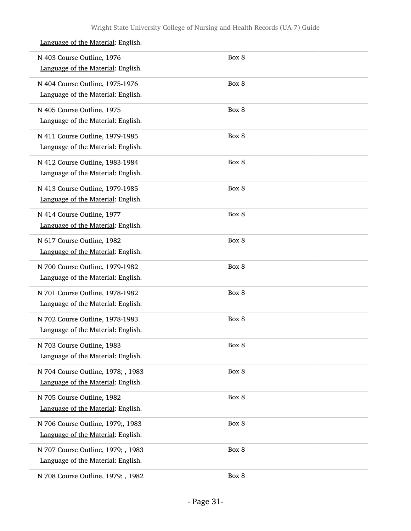| N 403 Course Outline, 1976<br>Language of the Material: English.         | Box 8 |
|--------------------------------------------------------------------------|-------|
| N 404 Course Outline, 1975-1976<br>Language of the Material: English.    | Box 8 |
| N 405 Course Outline, 1975<br>Language of the Material: English.         | Box 8 |
| N 411 Course Outline, 1979-1985<br>Language of the Material: English.    | Box 8 |
| N 412 Course Outline, 1983-1984<br>Language of the Material: English.    | Box 8 |
| N 413 Course Outline, 1979-1985<br>Language of the Material: English.    | Box 8 |
| N 414 Course Outline, 1977<br>Language of the Material: English.         | Box 8 |
| N 617 Course Outline, 1982<br>Language of the Material: English.         | Box 8 |
| N 700 Course Outline, 1979-1982<br>Language of the Material: English.    | Box 8 |
| N 701 Course Outline, 1978-1982<br>Language of the Material: English.    | Box 8 |
| N 702 Course Outline, 1978-1983<br>Language of the Material: English.    | Box 8 |
| N 703 Course Outline, 1983<br>Language of the Material: English.         | Box 8 |
| N 704 Course Outline, 1978; , 1983<br>Language of the Material: English. | Box 8 |
| N 705 Course Outline, 1982<br>Language of the Material: English.         | Box 8 |
| N 706 Course Outline, 1979;, 1983<br>Language of the Material: English.  | Box 8 |
| N 707 Course Outline, 1979; , 1983<br>Language of the Material: English. | Box 8 |
| N 708 Course Outline, 1979; , 1982                                       | Box 8 |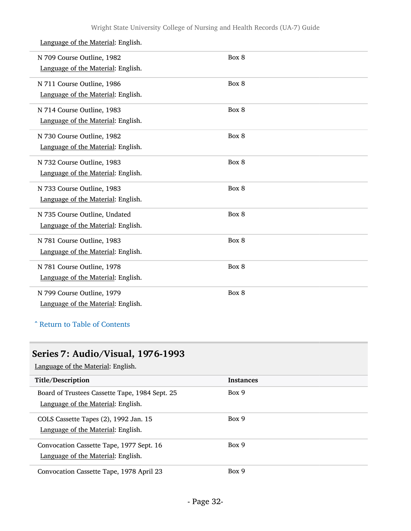#### N 709 Course Outline, 1982 Language of the Material: English. Box 8 N 711 Course Outline, 1986 Language of the Material: English. Box 8 N 714 Course Outline, 1983 Language of the Material: English. Box 8 N 730 Course Outline, 1982 Language of the Material: English. Box 8 N 732 Course Outline, 1983 Language of the Material: English. Box 8 N 733 Course Outline, 1983 Language of the Material: English. Box 8 N 735 Course Outline, Undated Language of the Material: English. Box 8 N 781 Course Outline, 1983 Language of the Material: English. Box 8 N 781 Course Outline, 1978 Language of the Material: English. Box 8 N 799 Course Outline, 1979 Box 8 Language of the Material: English.

#### Language of the Material: English.

#### ^ [Return to Table of Contents](#page-1-0)

## <span id="page-31-0"></span>Series 7: Audio/Visual, 1976-1993

| Title/Description                              | <b>Instances</b> |
|------------------------------------------------|------------------|
| Board of Trustees Cassette Tape, 1984 Sept. 25 | Box 9            |
| Language of the Material: English.             |                  |
| COLS Cassette Tapes (2), 1992 Jan. 15          | Box 9            |
| Language of the Material: English.             |                  |
| Convocation Cassette Tape, 1977 Sept. 16       | Box 9            |
| Language of the Material: English.             |                  |
| Convocation Cassette Tape, 1978 April 23       | Box 9            |